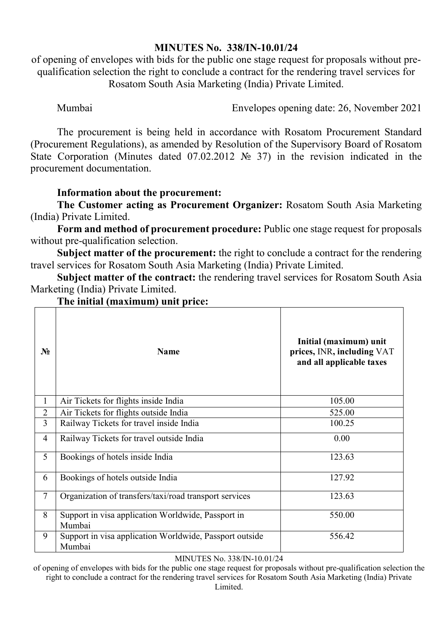## **MINUTES No. 338/IN-10.01/24**

of opening of envelopes with bids for the public one stage request for proposals without prequalification selection the right to conclude a contract for the rendering travel services for Rosatom South Asia Marketing (India) Private Limited.

Mumbai Envelopes opening date: 26, November 2021

The procurement is being held in accordance with Rosatom Procurement Standard (Procurement Regulations), as amended by Resolution of the Supervisory Board of Rosatom State Corporation (Minutes dated 07.02.2012 № 37) in the revision indicated in the procurement documentation.

## **Information about the procurement:**

**The Customer acting as Procurement Organizer:** Rosatom South Asia Marketing (India) Private Limited.

**Form and method of procurement procedure:** Public one stage request for proposals without pre-qualification selection.

**Subject matter of the procurement:** the right to conclude a contract for the rendering travel services for Rosatom South Asia Marketing (India) Private Limited.

**Subject matter of the contract:** the rendering travel services for Rosatom South Asia Marketing (India) Private Limited.

| N <sub>2</sub> | <b>Name</b>                                                       | Initial (maximum) unit<br>prices, INR, including VAT<br>and all applicable taxes |
|----------------|-------------------------------------------------------------------|----------------------------------------------------------------------------------|
| $\mathbf{1}$   | Air Tickets for flights inside India                              | 105.00                                                                           |
| $\overline{2}$ | Air Tickets for flights outside India                             | 525.00                                                                           |
| 3              | Railway Tickets for travel inside India                           | 100.25                                                                           |
| $\overline{4}$ | Railway Tickets for travel outside India                          | 0.00                                                                             |
| 5              | Bookings of hotels inside India                                   | 123.63                                                                           |
| 6              | Bookings of hotels outside India                                  | 127.92                                                                           |
| $\tau$         | Organization of transfers/taxi/road transport services            | 123.63                                                                           |
| 8              | Support in visa application Worldwide, Passport in<br>Mumbai      | 550.00                                                                           |
| 9              | Support in visa application Worldwide, Passport outside<br>Mumbai | 556.42                                                                           |

## **The initial (maximum) unit price:**

## MINUTES No. 338/IN-10.01/24

of opening of envelopes with bids for the public one stage request for proposals without pre-qualification selection the right to conclude a contract for the rendering travel services for Rosatom South Asia Marketing (India) Private